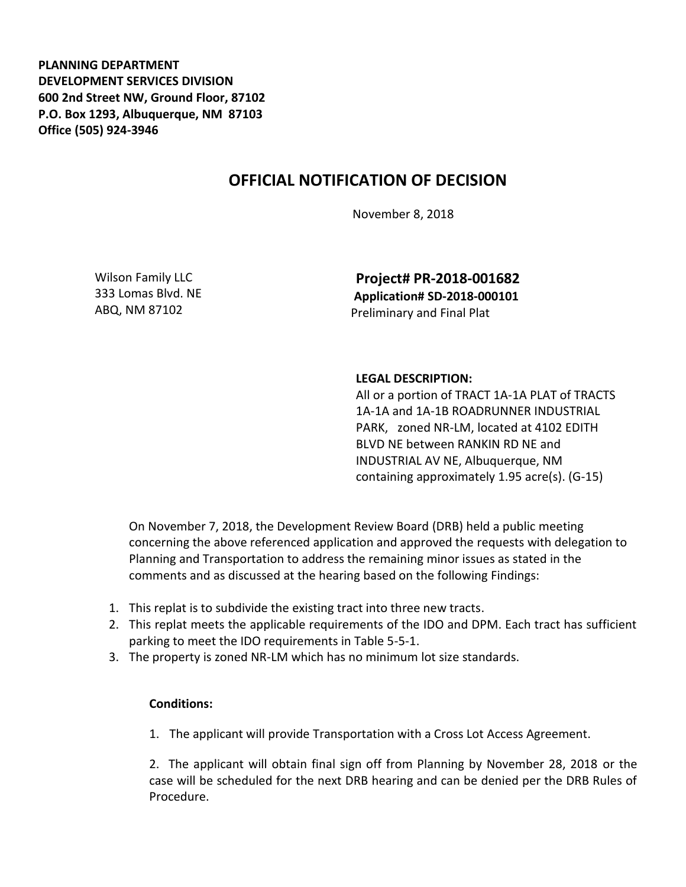**PLANNING DEPARTMENT DEVELOPMENT SERVICES DIVISION 600 2nd Street NW, Ground Floor, 87102 P.O. Box 1293, Albuquerque, NM 87103 Office (505) 924-3946** 

## **OFFICIAL NOTIFICATION OF DECISION**

November 8, 2018

Wilson Family LLC 333 Lomas Blvd. NE ABQ, NM 87102

**Project# PR-2018-001682 Application# SD-2018-000101** Preliminary and Final Plat

## **LEGAL DESCRIPTION:**

All or a portion of TRACT 1A-1A PLAT of TRACTS 1A-1A and 1A-1B ROADRUNNER INDUSTRIAL PARK, zoned NR-LM, located at 4102 EDITH BLVD NE between RANKIN RD NE and INDUSTRIAL AV NE, Albuquerque, NM containing approximately 1.95 acre(s). (G-15)

On November 7, 2018, the Development Review Board (DRB) held a public meeting concerning the above referenced application and approved the requests with delegation to Planning and Transportation to address the remaining minor issues as stated in the comments and as discussed at the hearing based on the following Findings:

- 1. This replat is to subdivide the existing tract into three new tracts.
- 2. This replat meets the applicable requirements of the IDO and DPM. Each tract has sufficient parking to meet the IDO requirements in Table 5-5-1.
- 3. The property is zoned NR-LM which has no minimum lot size standards.

## **Conditions:**

1. The applicant will provide Transportation with a Cross Lot Access Agreement.

2. The applicant will obtain final sign off from Planning by November 28, 2018 or the case will be scheduled for the next DRB hearing and can be denied per the DRB Rules of Procedure.